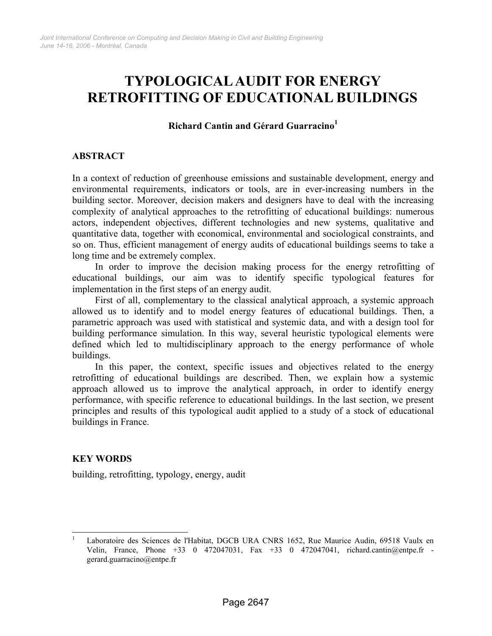# **TYPOLOGICAL AUDIT FOR ENERGY RETROFITTING OF EDUCATIONAL BUILDINGS**

## **Richard Cantin and Gérard Guarracino[1](#page-0-0)**

## **ABSTRACT**

In a context of reduction of greenhouse emissions and sustainable development, energy and environmental requirements, indicators or tools, are in ever-increasing numbers in the building sector. Moreover, decision makers and designers have to deal with the increasing complexity of analytical approaches to the retrofitting of educational buildings: numerous actors, independent objectives, different technologies and new systems, qualitative and quantitative data, together with economical, environmental and sociological constraints, and so on. Thus, efficient management of energy audits of educational buildings seems to take a long time and be extremely complex.

In order to improve the decision making process for the energy retrofitting of educational buildings, our aim was to identify specific typological features for implementation in the first steps of an energy audit.

First of all, complementary to the classical analytical approach, a systemic approach allowed us to identify and to model energy features of educational buildings. Then, a parametric approach was used with statistical and systemic data, and with a design tool for building performance simulation. In this way, several heuristic typological elements were defined which led to multidisciplinary approach to the energy performance of whole buildings.

In this paper, the context, specific issues and objectives related to the energy retrofitting of educational buildings are described. Then, we explain how a systemic approach allowed us to improve the analytical approach, in order to identify energy performance, with specific reference to educational buildings. In the last section, we present principles and results of this typological audit applied to a study of a stock of educational buildings in France.

#### **KEY WORDS**

building, retrofitting, typology, energy, audit

<span id="page-0-0"></span>l 1 Laboratoire des Sciences de l'Habitat, DGCB URA CNRS 1652, Rue Maurice Audin, 69518 Vaulx en Velin, France, Phone +33 0 472047031, Fax +33 0 472047041, richard.cantin@entpe.fr gerard.guarracino@entpe.fr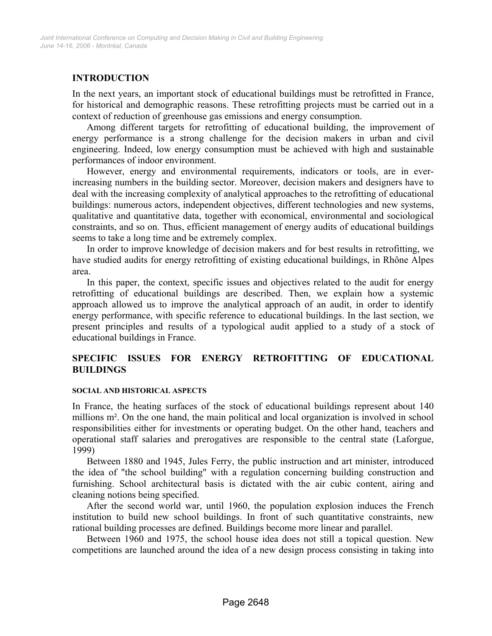## **INTRODUCTION**

In the next years, an important stock of educational buildings must be retrofitted in France, for historical and demographic reasons. These retrofitting projects must be carried out in a context of reduction of greenhouse gas emissions and energy consumption.

Among different targets for retrofitting of educational building, the improvement of energy performance is a strong challenge for the decision makers in urban and civil engineering. Indeed, low energy consumption must be achieved with high and sustainable performances of indoor environment.

However, energy and environmental requirements, indicators or tools, are in everincreasing numbers in the building sector. Moreover, decision makers and designers have to deal with the increasing complexity of analytical approaches to the retrofitting of educational buildings: numerous actors, independent objectives, different technologies and new systems, qualitative and quantitative data, together with economical, environmental and sociological constraints, and so on. Thus, efficient management of energy audits of educational buildings seems to take a long time and be extremely complex.

In order to improve knowledge of decision makers and for best results in retrofitting, we have studied audits for energy retrofitting of existing educational buildings, in Rhône Alpes area.

In this paper, the context, specific issues and objectives related to the audit for energy retrofitting of educational buildings are described. Then, we explain how a systemic approach allowed us to improve the analytical approach of an audit, in order to identify energy performance, with specific reference to educational buildings. In the last section, we present principles and results of a typological audit applied to a study of a stock of educational buildings in France.

## **SPECIFIC ISSUES FOR ENERGY RETROFITTING OF EDUCATIONAL BUILDINGS**

#### **SOCIAL AND HISTORICAL ASPECTS**

In France, the heating surfaces of the stock of educational buildings represent about 140 millions m². On the one hand, the main political and local organization is involved in school responsibilities either for investments or operating budget. On the other hand, teachers and operational staff salaries and prerogatives are responsible to the central state (Laforgue, 1999)

Between 1880 and 1945, Jules Ferry, the public instruction and art minister, introduced the idea of "the school building" with a regulation concerning building construction and furnishing. School architectural basis is dictated with the air cubic content, airing and cleaning notions being specified.

After the second world war, until 1960, the population explosion induces the French institution to build new school buildings. In front of such quantitative constraints, new rational building processes are defined. Buildings become more linear and parallel.

Between 1960 and 1975, the school house idea does not still a topical question. New competitions are launched around the idea of a new design process consisting in taking into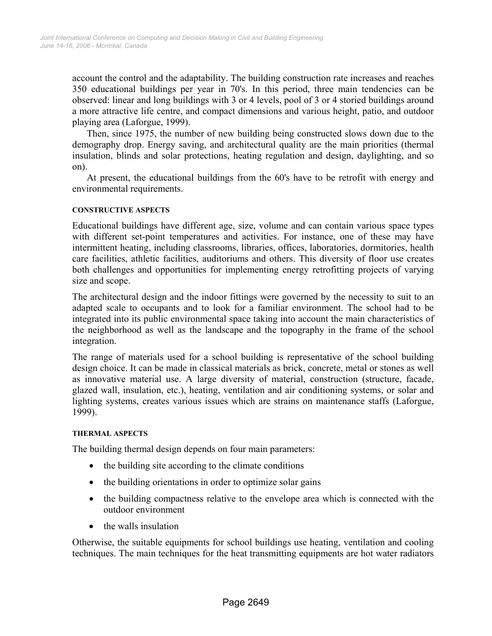account the control and the adaptability. The building construction rate increases and reaches 350 educational buildings per year in 70's. In this period, three main tendencies can be observed: linear and long buildings with 3 or 4 levels, pool of 3 or 4 storied buildings around a more attractive life centre, and compact dimensions and various height, patio, and outdoor playing area (Laforgue, 1999).

Then, since 1975, the number of new building being constructed slows down due to the demography drop. Energy saving, and architectural quality are the main priorities (thermal insulation, blinds and solar protections, heating regulation and design, daylighting, and so on).

At present, the educational buildings from the 60's have to be retrofit with energy and environmental requirements.

#### **CONSTRUCTIVE ASPECTS**

Educational buildings have different age, size, volume and can contain various space types with different set-point temperatures and activities. For instance, one of these may have intermittent heating, including classrooms, libraries, offices, laboratories, dormitories, health care facilities, athletic facilities, auditoriums and others. This diversity of floor use creates both challenges and opportunities for implementing energy retrofitting projects of varying size and scope.

The architectural design and the indoor fittings were governed by the necessity to suit to an adapted scale to occupants and to look for a familiar environment. The school had to be integrated into its public environmental space taking into account the main characteristics of the neighborhood as well as the landscape and the topography in the frame of the school integration.

The range of materials used for a school building is representative of the school building design choice. It can be made in classical materials as brick, concrete, metal or stones as well as innovative material use. A large diversity of material, construction (structure, facade, glazed wall, insulation, etc.), heating, ventilation and air conditioning systems, or solar and lighting systems, creates various issues which are strains on maintenance staffs (Laforgue, 1999).

#### **THERMAL ASPECTS**

The building thermal design depends on four main parameters:

- the building site according to the climate conditions
- the building orientations in order to optimize solar gains
- the building compactness relative to the envelope area which is connected with the outdoor environment
- the walls insulation

Otherwise, the suitable equipments for school buildings use heating, ventilation and cooling techniques. The main techniques for the heat transmitting equipments are hot water radiators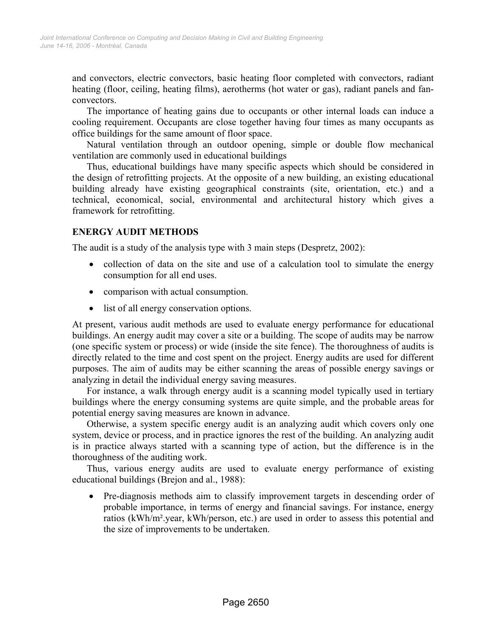and convectors, electric convectors, basic heating floor completed with convectors, radiant heating (floor, ceiling, heating films), aerotherms (hot water or gas), radiant panels and fanconvectors.

The importance of heating gains due to occupants or other internal loads can induce a cooling requirement. Occupants are close together having four times as many occupants as office buildings for the same amount of floor space.

Natural ventilation through an outdoor opening, simple or double flow mechanical ventilation are commonly used in educational buildings

Thus, educational buildings have many specific aspects which should be considered in the design of retrofitting projects. At the opposite of a new building, an existing educational building already have existing geographical constraints (site, orientation, etc.) and a technical, economical, social, environmental and architectural history which gives a framework for retrofitting.

## **ENERGY AUDIT METHODS**

The audit is a study of the analysis type with 3 main steps (Despretz, 2002):

- collection of data on the site and use of a calculation tool to simulate the energy consumption for all end uses.
- comparison with actual consumption.
- list of all energy conservation options.

At present, various audit methods are used to evaluate energy performance for educational buildings. An energy audit may cover a site or a building. The scope of audits may be narrow (one specific system or process) or wide (inside the site fence). The thoroughness of audits is directly related to the time and cost spent on the project. Energy audits are used for different purposes. The aim of audits may be either scanning the areas of possible energy savings or analyzing in detail the individual energy saving measures.

For instance, a walk through energy audit is a scanning model typically used in tertiary buildings where the energy consuming systems are quite simple, and the probable areas for potential energy saving measures are known in advance.

Otherwise, a system specific energy audit is an analyzing audit which covers only one system, device or process, and in practice ignores the rest of the building. An analyzing audit is in practice always started with a scanning type of action, but the difference is in the thoroughness of the auditing work.

Thus, various energy audits are used to evaluate energy performance of existing educational buildings (Brejon and al., 1988):

• Pre-diagnosis methods aim to classify improvement targets in descending order of probable importance, in terms of energy and financial savings. For instance, energy ratios (kWh/m².year, kWh/person, etc.) are used in order to assess this potential and the size of improvements to be undertaken.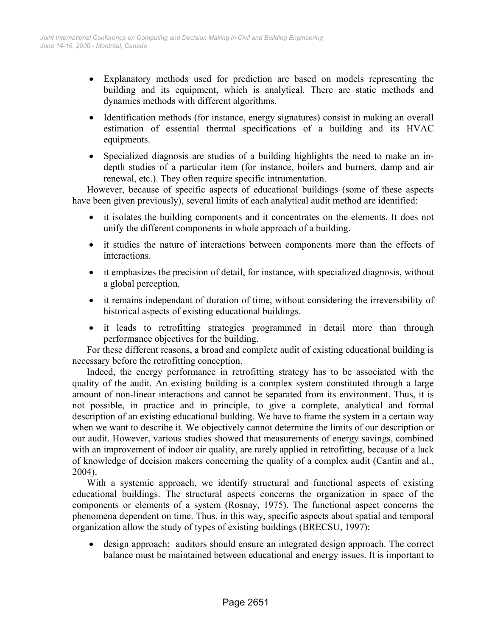- Explanatory methods used for prediction are based on models representing the building and its equipment, which is analytical. There are static methods and dynamics methods with different algorithms.
- Identification methods (for instance, energy signatures) consist in making an overall estimation of essential thermal specifications of a building and its HVAC equipments.
- Specialized diagnosis are studies of a building highlights the need to make an indepth studies of a particular item (for instance, boilers and burners, damp and air renewal, etc.). They often require specific intrumentation.

However, because of specific aspects of educational buildings (some of these aspects have been given previously), several limits of each analytical audit method are identified:

- it isolates the building components and it concentrates on the elements. It does not unify the different components in whole approach of a building.
- it studies the nature of interactions between components more than the effects of interactions.
- it emphasizes the precision of detail, for instance, with specialized diagnosis, without a global perception.
- it remains independant of duration of time, without considering the irreversibility of historical aspects of existing educational buildings.
- it leads to retrofitting strategies programmed in detail more than through performance objectives for the building.

For these different reasons, a broad and complete audit of existing educational building is necessary before the retrofitting conception.

Indeed, the energy performance in retrofitting strategy has to be associated with the quality of the audit. An existing building is a complex system constituted through a large amount of non-linear interactions and cannot be separated from its environment. Thus, it is not possible, in practice and in principle, to give a complete, analytical and formal description of an existing educational building. We have to frame the system in a certain way when we want to describe it. We objectively cannot determine the limits of our description or our audit. However, various studies showed that measurements of energy savings, combined with an improvement of indoor air quality, are rarely applied in retrofitting, because of a lack of knowledge of decision makers concerning the quality of a complex audit (Cantin and al., 2004).

With a systemic approach, we identify structural and functional aspects of existing educational buildings. The structural aspects concerns the organization in space of the components or elements of a system (Rosnay, 1975). The functional aspect concerns the phenomena dependent on time. Thus, in this way, specific aspects about spatial and temporal organization allow the study of types of existing buildings (BRECSU, 1997):

• design approach: auditors should ensure an integrated design approach. The correct balance must be maintained between educational and energy issues. It is important to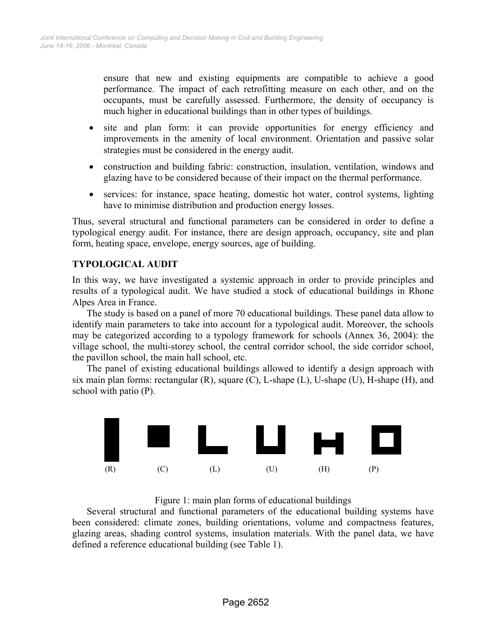ensure that new and existing equipments are compatible to achieve a good performance. The impact of each retrofitting measure on each other, and on the occupants, must be carefully assessed. Furthermore, the density of occupancy is much higher in educational buildings than in other types of buildings.

- site and plan form: it can provide opportunities for energy efficiency and improvements in the amenity of local environment. Orientation and passive solar strategies must be considered in the energy audit.
- construction and building fabric: construction, insulation, ventilation, windows and glazing have to be considered because of their impact on the thermal performance.
- services: for instance, space heating, domestic hot water, control systems, lighting have to minimise distribution and production energy losses.

Thus, several structural and functional parameters can be considered in order to define a typological energy audit. For instance, there are design approach, occupancy, site and plan form, heating space, envelope, energy sources, age of building.

## **TYPOLOGICAL AUDIT**

In this way, we have investigated a systemic approach in order to provide principles and results of a typological audit. We have studied a stock of educational buildings in Rhone Alpes Area in France.

The study is based on a panel of more 70 educational buildings. These panel data allow to identify main parameters to take into account for a typological audit. Moreover, the schools may be categorized according to a typology framework for schools (Annex 36, 2004): the village school, the multi-storey school, the central corridor school, the side corridor school, the pavillon school, the main hall school, etc.

The panel of existing educational buildings allowed to identify a design approach with six main plan forms: rectangular  $(R)$ , square  $(C)$ , L-shape  $(L)$ , U-shape  $(U)$ , H-shape  $(H)$ , and school with patio (P).



Figure 1: main plan forms of educational buildings

Several structural and functional parameters of the educational building systems have been considered: climate zones, building orientations, volume and compactness features, glazing areas, shading control systems, insulation materials. With the panel data, we have defined a reference educational building (see Table 1).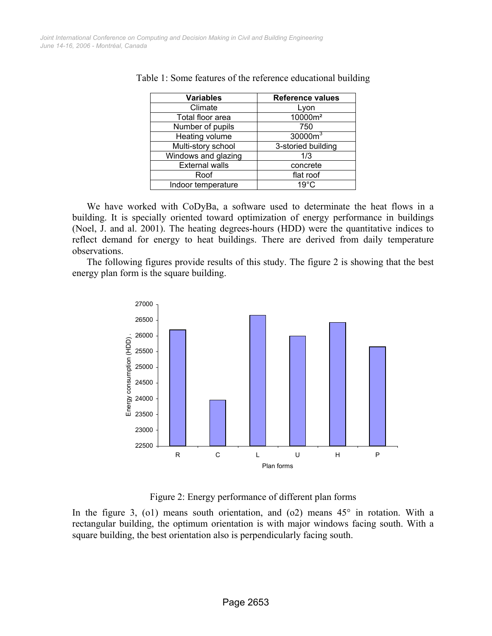| <b>Variables</b>      | <b>Reference values</b> |
|-----------------------|-------------------------|
| Climate               | Lyon                    |
| Total floor area      | 10000m <sup>2</sup>     |
| Number of pupils      | 750                     |
| Heating volume        | 30000m <sup>3</sup>     |
| Multi-story school    | 3-storied building      |
| Windows and glazing   | 1/3                     |
| <b>External walls</b> | concrete                |
| Roof                  | flat roof               |
| Indoor temperature    | $19^{\circ}$ C          |

Table 1: Some features of the reference educational building

We have worked with CoDyBa, a software used to determinate the heat flows in a building. It is specially oriented toward optimization of energy performance in buildings (Noel, J. and al. 2001). The heating degrees-hours (HDD) were the quantitative indices to reflect demand for energy to heat buildings. There are derived from daily temperature observations.

The following figures provide results of this study. The figure 2 is showing that the best energy plan form is the square building.



Figure 2: Energy performance of different plan forms

In the figure 3, (o1) means south orientation, and (o2) means  $45^\circ$  in rotation. With a rectangular building, the optimum orientation is with major windows facing south. With a square building, the best orientation also is perpendicularly facing south.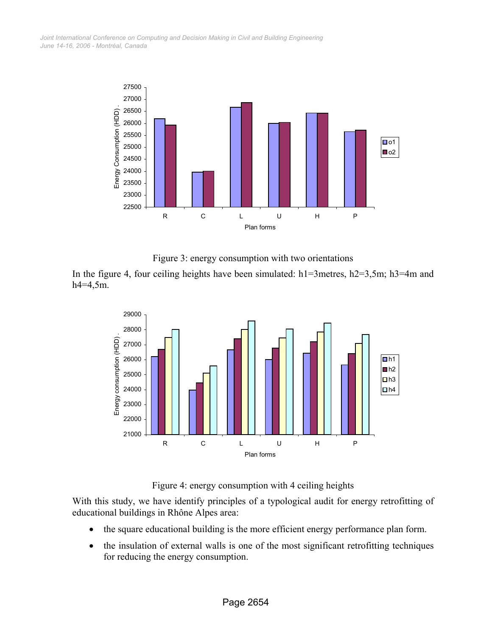*June 14-16, 2006 - Montréal, Canada Joint International Conference on Computing and Decision Making in Civil and Building Engineering*





In the figure 4, four ceiling heights have been simulated: h1=3metres, h2=3,5m; h3=4m and h4=4,5m.



Figure 4: energy consumption with 4 ceiling heights

With this study, we have identify principles of a typological audit for energy retrofitting of educational buildings in Rhône Alpes area:

- the square educational building is the more efficient energy performance plan form.
- the insulation of external walls is one of the most significant retrofitting techniques for reducing the energy consumption.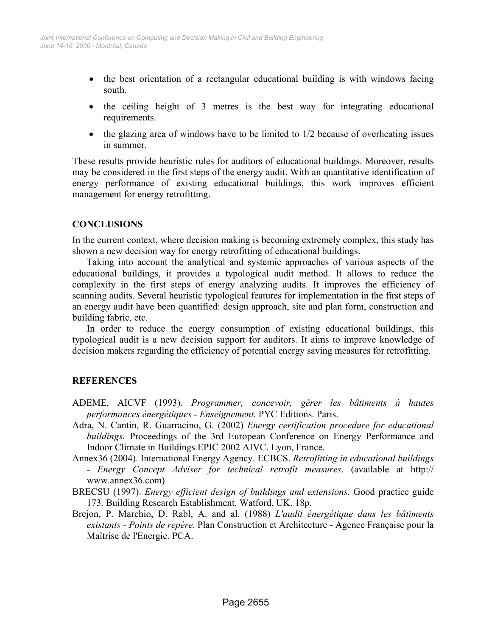- the best orientation of a rectangular educational building is with windows facing south.
- the ceiling height of 3 metres is the best way for integrating educational requirements.
- the glazing area of windows have to be limited to  $1/2$  because of overheating issues in summer.

These results provide heuristic rules for auditors of educational buildings. Moreover, results may be considered in the first steps of the energy audit. With an quantitative identification of energy performance of existing educational buildings, this work improves efficient management for energy retrofitting.

### **CONCLUSIONS**

In the current context, where decision making is becoming extremely complex, this study has shown a new decision way for energy retrofitting of educational buildings.

Taking into account the analytical and systemic approaches of various aspects of the educational buildings, it provides a typological audit method. It allows to reduce the complexity in the first steps of energy analyzing audits. It improves the efficiency of scanning audits. Several heuristic typological features for implementation in the first steps of an energy audit have been quantified: design approach, site and plan form, construction and building fabric, etc.

In order to reduce the energy consumption of existing educational buildings, this typological audit is a new decision support for auditors. It aims to improve knowledge of decision makers regarding the efficiency of potential energy saving measures for retrofitting.

## **REFERENCES**

- ADEME, AICVF (1993). *Programmer, concevoir, gérer les bâtiments à hautes performances énergétiques - Enseignement.* PYC Editions. Paris.
- Adra, N. Cantin, R. Guarracino, G. (2002) *Energy certification procedure for educational buildings.* Proceedings of the 3rd European Conference on Energy Performance and Indoor Climate in Buildings EPIC 2002 AIVC. Lyon, France.
- Annex36 (2004). International Energy Agency. ECBCS. *Retrofitting in educational buildings* 
	- *Energy Concept Adviser for technical retrofit measures*. (available at http:// www.annex36.com)
- BRECSU (1997). *Energy efficient design of buildings and extensions.* Good practice guide 173. Building Research Establishment. Watford, UK. 18p.
- Brejon, P. Marchio, D. Rabl, A. and al. (1988) *L'audit énergétique dans les bâtiments existants - Points de repère*. Plan Construction et Architecture - Agence Française pour la Maîtrise de l'Energie. PCA.